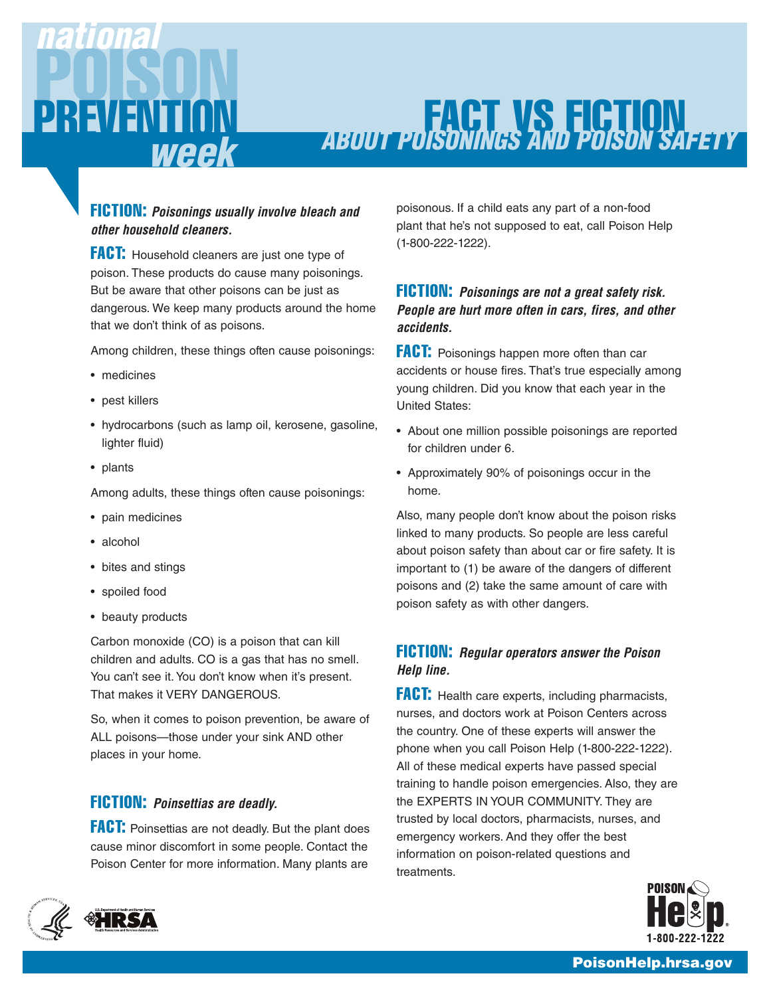

# **FACT VS FICTION ABOUT POISONINGS AND POISON SAFETY**

## **FICTION: Poisonings usually involve bleach and other household cleaners.**

**FACT:** Household cleaners are just one type of poison. These products do cause many poisonings. But be aware that other poisons can be just as dangerous. We keep many products around the home that we don't think of as poisons.

Among children, these things often cause poisonings:

- medicines
- pest killers
- hydrocarbons (such as lamp oil, kerosene, gasoline, lighter fluid)
- plants

Among adults, these things often cause poisonings:

- pain medicines
- alcohol
- bites and stings
- spoiled food
- beauty products

Carbon monoxide (CO) is a poison that can kill children and adults. CO is a gas that has no smell. You can't see it. You don't know when it's present. That makes it VERY DANGEROUS.

So, when it comes to poison prevention, be aware of ALL poisons—those under your sink AND other places in your home.

### **FICTION: Poinsettias are deadly.**

**FACT:** Poinsettias are not deadly. But the plant does cause minor discomfort in some people. Contact the Poison Center for more information. Many plants are poisonous. If a child eats any part of a non-food plant that he's not supposed to eat, call Poison Help (1-800-222-1222).

### **FICTION: Poisonings are not a great safety risk. People are hurt more often in cars, fires, and other accidents.**

**FACT:** Poisonings happen more often than car accidents or house fires. That's true especially among young children. Did you know that each year in the United States:

- About one million possible poisonings are reported for children under 6.
- Approximately 90% of poisonings occur in the home.

Also, many people don't know about the poison risks linked to many products. So people are less careful about poison safety than about car or fire safety. It is important to (1) be aware of the dangers of different poisons and (2) take the same amount of care with poison safety as with other dangers.

## **FICTION: Regular operators answer the Poison Help line.**

**FACT:** Health care experts, including pharmacists, nurses, and doctors work at Poison Centers across the country. One of these experts will answer the phone when you call Poison Help (1-800-222-1222). All of these medical experts have passed special training to handle poison emergencies. Also, they are the EXPERTS IN YOUR COMMUNITY. They are trusted by local doctors, pharmacists, nurses, and emergency workers. And they offer the best information on poison-related questions and treatments.